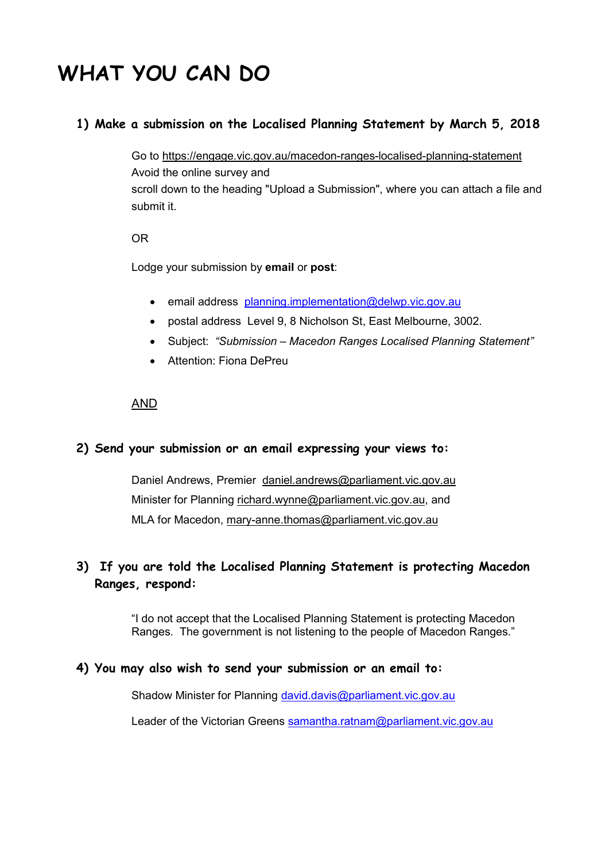# **WHAT YOU CAN DO**

## **1) Make a submission on the Localised Planning Statement by March 5, 2018**

Go to https://engage.vic.gov.au/macedon-ranges-localised-planning-statement Avoid the online survey and scroll down to the heading "Upload a Submission", where you can attach a file and submit it.

#### OR

Lodge your submission by **email** or **post**:

- email address planning.implementation@delwp.vic.gov.au
- postal address Level 9, 8 Nicholson St, East Melbourne, 3002.
- Subject: *"Submission Macedon Ranges Localised Planning Statement"*
- Attention: Fiona DePreu

#### AND

#### **2) Send your submission or an email expressing your views to:**

Daniel Andrews, Premier daniel.andrews@parliament.vic.gov.au Minister for Planning richard.wynne@parliament.vic.gov.au, and MLA for Macedon, mary-anne.thomas@parliament.vic.gov.au

## **3) If you are told the Localised Planning Statement is protecting Macedon Ranges, respond:**

"I do not accept that the Localised Planning Statement is protecting Macedon Ranges. The government is not listening to the people of Macedon Ranges."

#### **4) You may also wish to send your submission or an email to:**

Shadow Minister for Planning david.davis@parliament.vic.gov.au

Leader of the Victorian Greens samantha.ratnam@parliament.vic.gov.au